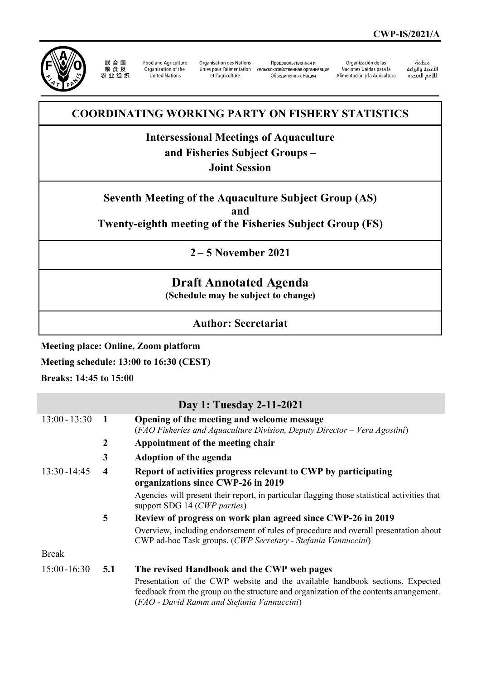

联合国<br>粮食及 Food and Agriculture Organization of the 农业组织 United Nations

Organisation des Nations et l'agriculture

Unies pour l'alimentation сельскохозяйственная организация

Продовольственная и Объединенных Наций

Organización de las Naciones Unidas para la Alimentación y la Agricultura

änhin استديه والرزاعة<br>اللامم المتحدة

## **COORDINATING WORKING PARTY ON FISHERY STATISTICS**

**Intersessional Meetings of Aquaculture and Fisheries Subject Groups –** 

**Joint Session**

## **Seventh Meeting of the Aquaculture Subject Group (AS) and**

**Twenty-eighth meeting of the Fisheries Subject Group (FS)**

**2 – 5 November 2021** 

## **Draft Annotated Agenda (Schedule may be subject to change)**

## **Author: Secretariat**

**Meeting place: Online, Zoom platform** 

**Meeting schedule: 13:00 to 16:30 (CEST)**

**Breaks: 14:45 to 15:00**

|                 |                  | Day 1: Tuesday 2-11-2021                                                                                                                                                                                              |
|-----------------|------------------|-----------------------------------------------------------------------------------------------------------------------------------------------------------------------------------------------------------------------|
| $13:00 - 13:30$ | $\blacksquare$   | Opening of the meeting and welcome message<br>(FAO Fisheries and Aquaculture Division, Deputy Director – Vera Agostini)                                                                                               |
|                 | $\boldsymbol{2}$ | Appointment of the meeting chair                                                                                                                                                                                      |
|                 | 3                | Adoption of the agenda                                                                                                                                                                                                |
| $13:30 - 14:45$ | 4                | Report of activities progress relevant to CWP by participating<br>organizations since CWP-26 in 2019                                                                                                                  |
|                 |                  | Agencies will present their report, in particular flagging those statistical activities that<br>support SDG 14 (CWP parties)                                                                                          |
|                 | 5                | Review of progress on work plan agreed since CWP-26 in 2019                                                                                                                                                           |
|                 |                  | Overview, including endorsement of rules of procedure and overall presentation about<br>CWP ad-hoc Task groups. (CWP Secretary - Stefania Vannuccini)                                                                 |
| <b>Break</b>    |                  |                                                                                                                                                                                                                       |
| $15:00 - 16:30$ | 5.1              | The revised Handbook and the CWP web pages                                                                                                                                                                            |
|                 |                  | Presentation of the CWP website and the available handbook sections. Expected<br>feedback from the group on the structure and organization of the contents arrangement.<br>(FAO - David Ramm and Stefania Vannuccini) |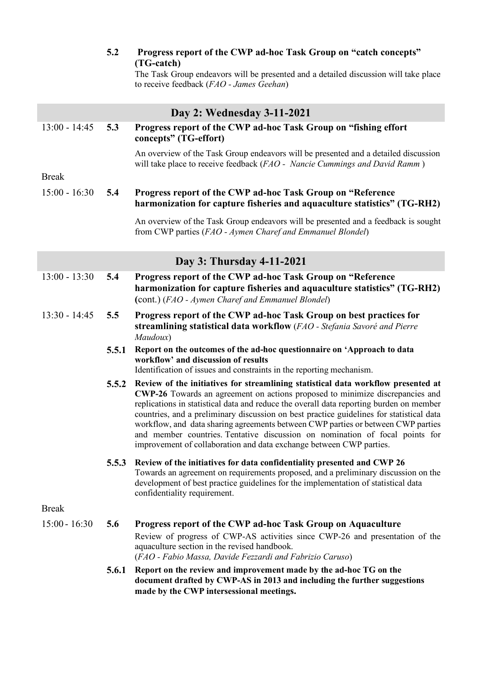|                            | 5.2   | Progress report of the CWP ad-hoc Task Group on "catch concepts"<br>(TG-catch)<br>The Task Group endeavors will be presented and a detailed discussion will take place<br>to receive feedback (FAO - James Geehan)                                                                                                                                                                                                                                                                                                                                                                                          |  |  |
|----------------------------|-------|-------------------------------------------------------------------------------------------------------------------------------------------------------------------------------------------------------------------------------------------------------------------------------------------------------------------------------------------------------------------------------------------------------------------------------------------------------------------------------------------------------------------------------------------------------------------------------------------------------------|--|--|
| Day 2: Wednesday 3-11-2021 |       |                                                                                                                                                                                                                                                                                                                                                                                                                                                                                                                                                                                                             |  |  |
| $13:00 - 14:45$            | 5.3   | Progress report of the CWP ad-hoc Task Group on "fishing effort<br>concepts" (TG-effort)                                                                                                                                                                                                                                                                                                                                                                                                                                                                                                                    |  |  |
|                            |       | An overview of the Task Group endeavors will be presented and a detailed discussion<br>will take place to receive feedback (FAO - Nancie Cummings and David Ramm)                                                                                                                                                                                                                                                                                                                                                                                                                                           |  |  |
| <b>Break</b>               |       |                                                                                                                                                                                                                                                                                                                                                                                                                                                                                                                                                                                                             |  |  |
| $15:00 - 16:30$            | 5.4   | Progress report of the CWP ad-hoc Task Group on "Reference<br>harmonization for capture fisheries and aquaculture statistics" (TG-RH2)                                                                                                                                                                                                                                                                                                                                                                                                                                                                      |  |  |
|                            |       | An overview of the Task Group endeavors will be presented and a feedback is sought<br>from CWP parties (FAO - Aymen Charef and Emmanuel Blondel)                                                                                                                                                                                                                                                                                                                                                                                                                                                            |  |  |
| Day 3: Thursday 4-11-2021  |       |                                                                                                                                                                                                                                                                                                                                                                                                                                                                                                                                                                                                             |  |  |
| $13:00 - 13:30$            | 5.4   | Progress report of the CWP ad-hoc Task Group on "Reference<br>harmonization for capture fisheries and aquaculture statistics" (TG-RH2)<br>(cont.) (FAO - Aymen Charef and Emmanuel Blondel)                                                                                                                                                                                                                                                                                                                                                                                                                 |  |  |
| $13:30 - 14:45$            | 5.5   | Progress report of the CWP ad-hoc Task Group on best practices for<br>streamlining statistical data workflow (FAO - Stefania Savoré and Pierre<br>Maudoux)                                                                                                                                                                                                                                                                                                                                                                                                                                                  |  |  |
|                            | 5.5.1 | Report on the outcomes of the ad-hoc questionnaire on 'Approach to data<br>workflow' and discussion of results<br>Identification of issues and constraints in the reporting mechanism.                                                                                                                                                                                                                                                                                                                                                                                                                      |  |  |
|                            | 5.5.2 | Review of the initiatives for streamlining statistical data workflow presented at<br><b>CWP-26</b> Towards an agreement on actions proposed to minimize discrepancies and<br>replications in statistical data and reduce the overall data reporting burden on member<br>countries, and a preliminary discussion on best practice guidelines for statistical data<br>workflow, and data sharing agreements between CWP parties or between CWP parties<br>and member countries. Tentative discussion on nomination of focal points for<br>improvement of collaboration and data exchange between CWP parties. |  |  |
|                            | 5.5.3 | Review of the initiatives for data confidentiality presented and CWP 26<br>Towards an agreement on requirements proposed, and a preliminary discussion on the<br>development of best practice guidelines for the implementation of statistical data<br>confidentiality requirement.                                                                                                                                                                                                                                                                                                                         |  |  |
| <b>Break</b>               |       |                                                                                                                                                                                                                                                                                                                                                                                                                                                                                                                                                                                                             |  |  |
| $15:00 - 16:30$            | 5.6   | Progress report of the CWP ad-hoc Task Group on Aquaculture<br>Review of progress of CWP-AS activities since CWP-26 and presentation of the<br>aquaculture section in the revised handbook.<br>(FAO - Fabio Massa, Davide Fezzardi and Fabrizio Caruso)                                                                                                                                                                                                                                                                                                                                                     |  |  |
|                            | 5.6.1 | Report on the review and improvement made by the ad-hoc TG on the<br>document drafted by CWP-AS in 2013 and including the further suggestions<br>made by the CWP intersessional meetings.                                                                                                                                                                                                                                                                                                                                                                                                                   |  |  |